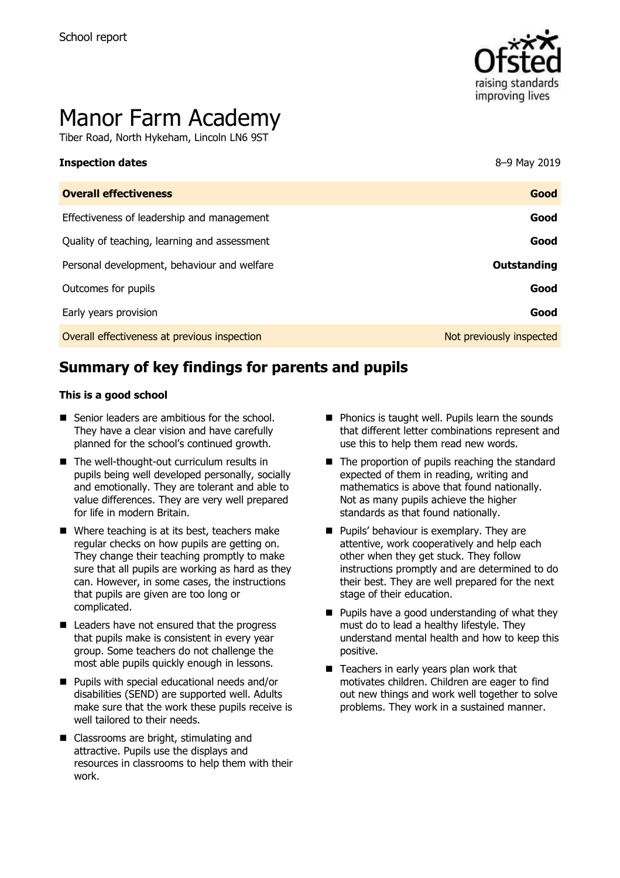

# Manor Farm Academy

Tiber Road, North Hykeham, Lincoln LN6 9ST

| <b>Overall effectiveness</b>                 | Good                     |
|----------------------------------------------|--------------------------|
| Effectiveness of leadership and management   | Good                     |
| Quality of teaching, learning and assessment | Good                     |
| Personal development, behaviour and welfare  | Outstanding              |
| Outcomes for pupils                          | Good                     |
| Early years provision                        | Good                     |
| Overall effectiveness at previous inspection | Not previously inspected |

# **Summary of key findings for parents and pupils**

#### **This is a good school**

- Senior leaders are ambitious for the school. They have a clear vision and have carefully planned for the school's continued growth.
- The well-thought-out curriculum results in pupils being well developed personally, socially and emotionally. They are tolerant and able to value differences. They are very well prepared for life in modern Britain.
- Where teaching is at its best, teachers make regular checks on how pupils are getting on. They change their teaching promptly to make sure that all pupils are working as hard as they can. However, in some cases, the instructions that pupils are given are too long or complicated.
- Leaders have not ensured that the progress that pupils make is consistent in every year group. Some teachers do not challenge the most able pupils quickly enough in lessons.
- **Pupils with special educational needs and/or** disabilities (SEND) are supported well. Adults make sure that the work these pupils receive is well tailored to their needs.
- Classrooms are bright, stimulating and attractive. Pupils use the displays and resources in classrooms to help them with their work.
- $\blacksquare$  Phonics is taught well. Pupils learn the sounds that different letter combinations represent and use this to help them read new words.
- The proportion of pupils reaching the standard expected of them in reading, writing and mathematics is above that found nationally. Not as many pupils achieve the higher standards as that found nationally.
- **Pupils' behaviour is exemplary. They are** attentive, work cooperatively and help each other when they get stuck. They follow instructions promptly and are determined to do their best. They are well prepared for the next stage of their education.
- $\blacksquare$  Pupils have a good understanding of what they must do to lead a healthy lifestyle. They understand mental health and how to keep this positive.
- Teachers in early years plan work that motivates children. Children are eager to find out new things and work well together to solve problems. They work in a sustained manner.

**Inspection dates** 8–9 May 2019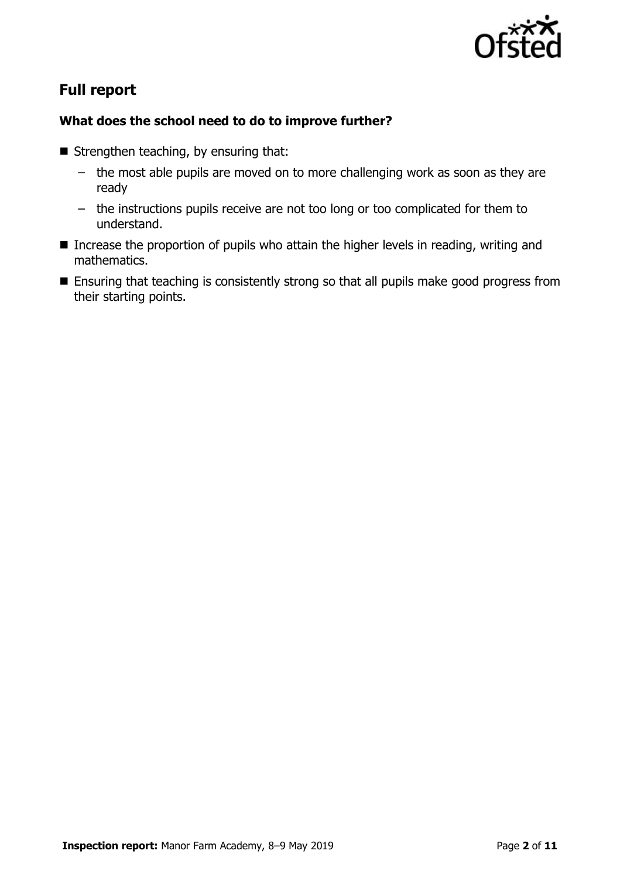

# **Full report**

#### **What does the school need to do to improve further?**

- Strengthen teaching, by ensuring that:
	- the most able pupils are moved on to more challenging work as soon as they are ready
	- the instructions pupils receive are not too long or too complicated for them to understand.
- Increase the proportion of pupils who attain the higher levels in reading, writing and mathematics.
- **Ensuring that teaching is consistently strong so that all pupils make good progress from** their starting points.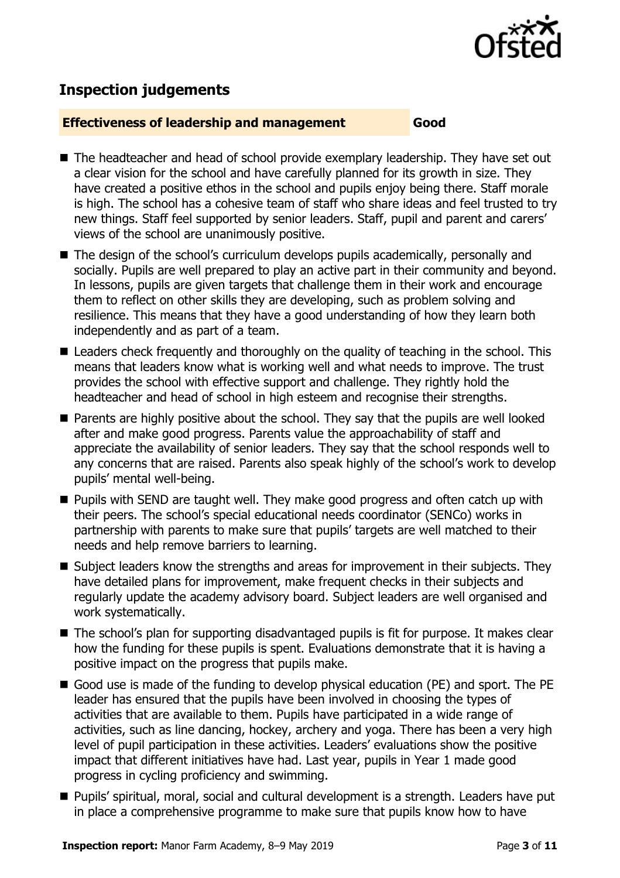

# **Inspection judgements**

#### **Effectiveness of leadership and management Good**

- The headteacher and head of school provide exemplary leadership. They have set out a clear vision for the school and have carefully planned for its growth in size. They have created a positive ethos in the school and pupils enjoy being there. Staff morale is high. The school has a cohesive team of staff who share ideas and feel trusted to try new things. Staff feel supported by senior leaders. Staff, pupil and parent and carers' views of the school are unanimously positive.
- The design of the school's curriculum develops pupils academically, personally and socially. Pupils are well prepared to play an active part in their community and beyond. In lessons, pupils are given targets that challenge them in their work and encourage them to reflect on other skills they are developing, such as problem solving and resilience. This means that they have a good understanding of how they learn both independently and as part of a team.
- Leaders check frequently and thoroughly on the quality of teaching in the school. This means that leaders know what is working well and what needs to improve. The trust provides the school with effective support and challenge. They rightly hold the headteacher and head of school in high esteem and recognise their strengths.
- **Parents are highly positive about the school. They say that the pupils are well looked** after and make good progress. Parents value the approachability of staff and appreciate the availability of senior leaders. They say that the school responds well to any concerns that are raised. Parents also speak highly of the school's work to develop pupils' mental well-being.
- **Pupils with SEND are taught well. They make good progress and often catch up with** their peers. The school's special educational needs coordinator (SENCo) works in partnership with parents to make sure that pupils' targets are well matched to their needs and help remove barriers to learning.
- Subject leaders know the strengths and areas for improvement in their subjects. They have detailed plans for improvement, make frequent checks in their subjects and regularly update the academy advisory board. Subject leaders are well organised and work systematically.
- The school's plan for supporting disadvantaged pupils is fit for purpose. It makes clear how the funding for these pupils is spent. Evaluations demonstrate that it is having a positive impact on the progress that pupils make.
- Good use is made of the funding to develop physical education (PE) and sport. The PE leader has ensured that the pupils have been involved in choosing the types of activities that are available to them. Pupils have participated in a wide range of activities, such as line dancing, hockey, archery and yoga. There has been a very high level of pupil participation in these activities. Leaders' evaluations show the positive impact that different initiatives have had. Last year, pupils in Year 1 made good progress in cycling proficiency and swimming.
- Pupils' spiritual, moral, social and cultural development is a strength. Leaders have put in place a comprehensive programme to make sure that pupils know how to have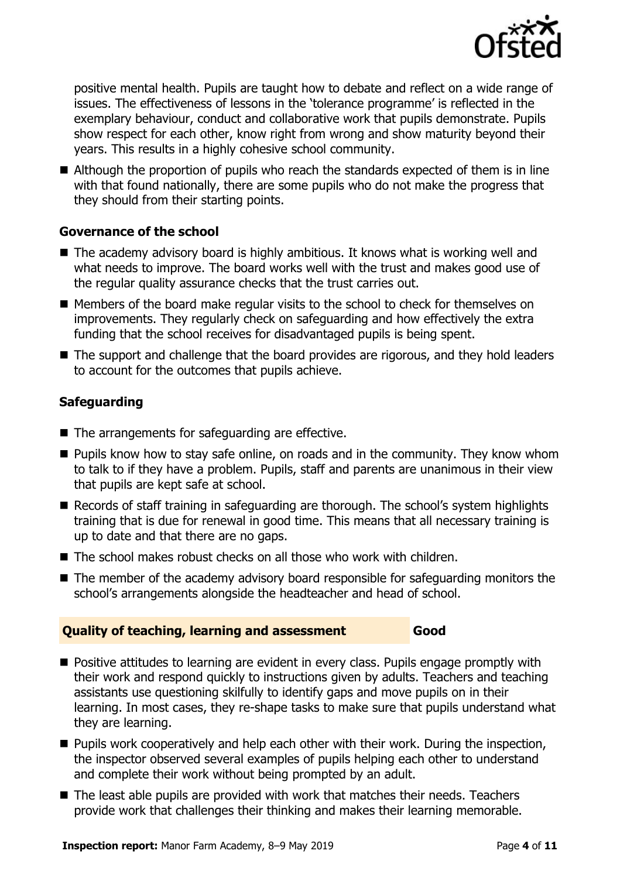

positive mental health. Pupils are taught how to debate and reflect on a wide range of issues. The effectiveness of lessons in the 'tolerance programme' is reflected in the exemplary behaviour, conduct and collaborative work that pupils demonstrate. Pupils show respect for each other, know right from wrong and show maturity beyond their years. This results in a highly cohesive school community.

Although the proportion of pupils who reach the standards expected of them is in line with that found nationally, there are some pupils who do not make the progress that they should from their starting points.

#### **Governance of the school**

- The academy advisory board is highly ambitious. It knows what is working well and what needs to improve. The board works well with the trust and makes good use of the regular quality assurance checks that the trust carries out.
- Members of the board make regular visits to the school to check for themselves on improvements. They regularly check on safeguarding and how effectively the extra funding that the school receives for disadvantaged pupils is being spent.
- The support and challenge that the board provides are rigorous, and they hold leaders to account for the outcomes that pupils achieve.

### **Safeguarding**

- The arrangements for safeguarding are effective.
- $\blacksquare$  Pupils know how to stay safe online, on roads and in the community. They know whom to talk to if they have a problem. Pupils, staff and parents are unanimous in their view that pupils are kept safe at school.
- Records of staff training in safeguarding are thorough. The school's system highlights training that is due for renewal in good time. This means that all necessary training is up to date and that there are no gaps.
- $\blacksquare$  The school makes robust checks on all those who work with children.
- The member of the academy advisory board responsible for safeguarding monitors the school's arrangements alongside the headteacher and head of school.

#### **Quality of teaching, learning and assessment Good**

- **Positive attitudes to learning are evident in every class. Pupils engage promptly with** their work and respond quickly to instructions given by adults. Teachers and teaching assistants use questioning skilfully to identify gaps and move pupils on in their learning. In most cases, they re-shape tasks to make sure that pupils understand what they are learning.
- **Pupils work cooperatively and help each other with their work. During the inspection,** the inspector observed several examples of pupils helping each other to understand and complete their work without being prompted by an adult.
- The least able pupils are provided with work that matches their needs. Teachers provide work that challenges their thinking and makes their learning memorable.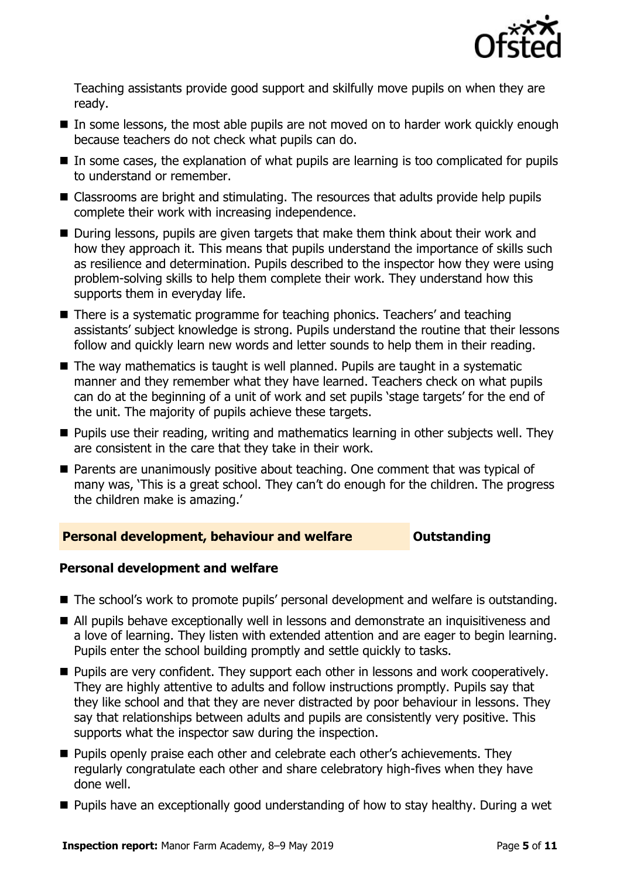

Teaching assistants provide good support and skilfully move pupils on when they are ready.

- In some lessons, the most able pupils are not moved on to harder work quickly enough because teachers do not check what pupils can do.
- In some cases, the explanation of what pupils are learning is too complicated for pupils to understand or remember.
- Classrooms are bright and stimulating. The resources that adults provide help pupils complete their work with increasing independence.
- During lessons, pupils are given targets that make them think about their work and how they approach it. This means that pupils understand the importance of skills such as resilience and determination. Pupils described to the inspector how they were using problem-solving skills to help them complete their work. They understand how this supports them in everyday life.
- There is a systematic programme for teaching phonics. Teachers' and teaching assistants' subject knowledge is strong. Pupils understand the routine that their lessons follow and quickly learn new words and letter sounds to help them in their reading.
- $\blacksquare$  The way mathematics is taught is well planned. Pupils are taught in a systematic manner and they remember what they have learned. Teachers check on what pupils can do at the beginning of a unit of work and set pupils 'stage targets' for the end of the unit. The majority of pupils achieve these targets.
- **Pupils use their reading, writing and mathematics learning in other subjects well. They** are consistent in the care that they take in their work.
- **Parents are unanimously positive about teaching. One comment that was typical of** many was, 'This is a great school. They can't do enough for the children. The progress the children make is amazing.'

#### **Personal development, behaviour and welfare <b>COUTS** Outstanding

#### **Personal development and welfare**

- The school's work to promote pupils' personal development and welfare is outstanding.
- All pupils behave exceptionally well in lessons and demonstrate an inquisitiveness and a love of learning. They listen with extended attention and are eager to begin learning. Pupils enter the school building promptly and settle quickly to tasks.
- **Pupils are very confident. They support each other in lessons and work cooperatively.** They are highly attentive to adults and follow instructions promptly. Pupils say that they like school and that they are never distracted by poor behaviour in lessons. They say that relationships between adults and pupils are consistently very positive. This supports what the inspector saw during the inspection.
- **Pupils openly praise each other and celebrate each other's achievements. They** regularly congratulate each other and share celebratory high-fives when they have done well.
- Pupils have an exceptionally good understanding of how to stay healthy. During a wet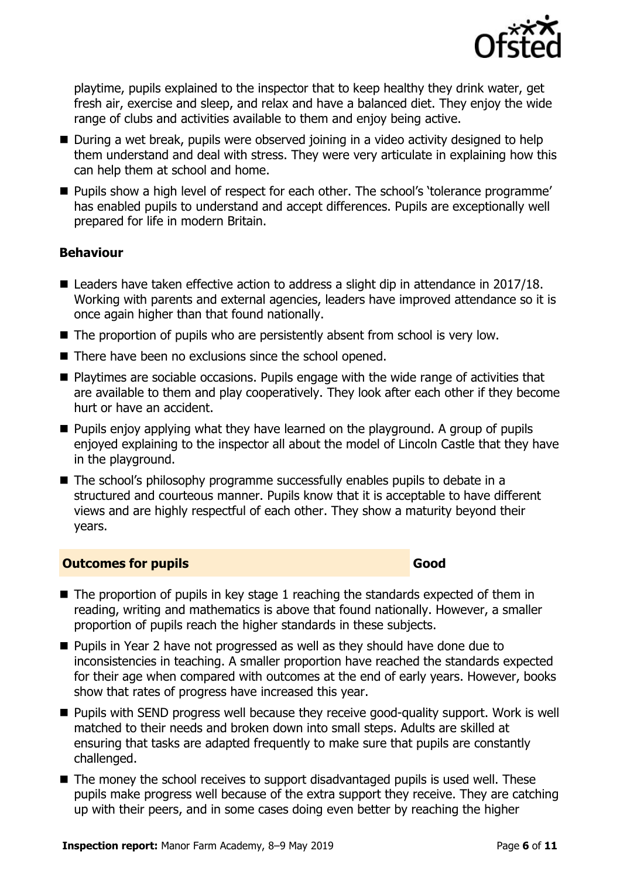

playtime, pupils explained to the inspector that to keep healthy they drink water, get fresh air, exercise and sleep, and relax and have a balanced diet. They enjoy the wide range of clubs and activities available to them and enjoy being active.

- During a wet break, pupils were observed joining in a video activity designed to help them understand and deal with stress. They were very articulate in explaining how this can help them at school and home.
- **Pupils show a high level of respect for each other. The school's 'tolerance programme'** has enabled pupils to understand and accept differences. Pupils are exceptionally well prepared for life in modern Britain.

#### **Behaviour**

- Leaders have taken effective action to address a slight dip in attendance in 2017/18. Working with parents and external agencies, leaders have improved attendance so it is once again higher than that found nationally.
- The proportion of pupils who are persistently absent from school is very low.
- There have been no exclusions since the school opened.
- Playtimes are sociable occasions. Pupils engage with the wide range of activities that are available to them and play cooperatively. They look after each other if they become hurt or have an accident.
- **Pupils enjoy applying what they have learned on the playground. A group of pupils** enjoyed explaining to the inspector all about the model of Lincoln Castle that they have in the playground.
- The school's philosophy programme successfully enables pupils to debate in a structured and courteous manner. Pupils know that it is acceptable to have different views and are highly respectful of each other. They show a maturity beyond their years.

#### **Outcomes for pupils Good**

- $\blacksquare$  The proportion of pupils in key stage 1 reaching the standards expected of them in reading, writing and mathematics is above that found nationally. However, a smaller proportion of pupils reach the higher standards in these subjects.
- Pupils in Year 2 have not progressed as well as they should have done due to inconsistencies in teaching. A smaller proportion have reached the standards expected for their age when compared with outcomes at the end of early years. However, books show that rates of progress have increased this year.
- Pupils with SEND progress well because they receive good-quality support. Work is well matched to their needs and broken down into small steps. Adults are skilled at ensuring that tasks are adapted frequently to make sure that pupils are constantly challenged.
- The money the school receives to support disadvantaged pupils is used well. These pupils make progress well because of the extra support they receive. They are catching up with their peers, and in some cases doing even better by reaching the higher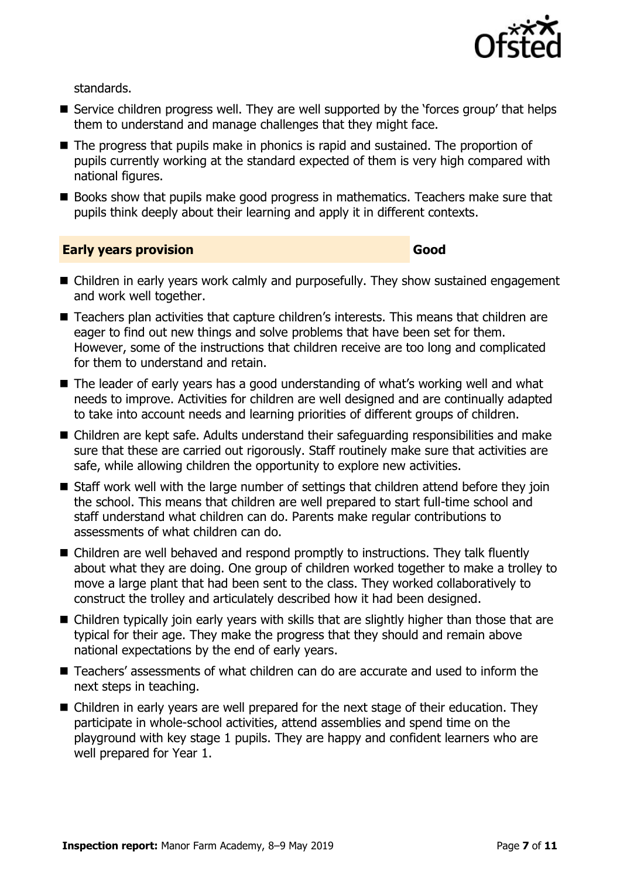

standards.

- Service children progress well. They are well supported by the 'forces group' that helps them to understand and manage challenges that they might face.
- The progress that pupils make in phonics is rapid and sustained. The proportion of pupils currently working at the standard expected of them is very high compared with national figures.
- Books show that pupils make good progress in mathematics. Teachers make sure that pupils think deeply about their learning and apply it in different contexts.

**Early years provision Good Good** 

- Children in early years work calmly and purposefully. They show sustained engagement and work well together.
- Teachers plan activities that capture children's interests. This means that children are eager to find out new things and solve problems that have been set for them. However, some of the instructions that children receive are too long and complicated for them to understand and retain.
- The leader of early years has a good understanding of what's working well and what needs to improve. Activities for children are well designed and are continually adapted to take into account needs and learning priorities of different groups of children.
- Children are kept safe. Adults understand their safeguarding responsibilities and make sure that these are carried out rigorously. Staff routinely make sure that activities are safe, while allowing children the opportunity to explore new activities.
- Staff work well with the large number of settings that children attend before they join the school. This means that children are well prepared to start full-time school and staff understand what children can do. Parents make regular contributions to assessments of what children can do.
- Children are well behaved and respond promptly to instructions. They talk fluently about what they are doing. One group of children worked together to make a trolley to move a large plant that had been sent to the class. They worked collaboratively to construct the trolley and articulately described how it had been designed.
- Children typically join early years with skills that are slightly higher than those that are typical for their age. They make the progress that they should and remain above national expectations by the end of early years.
- Teachers' assessments of what children can do are accurate and used to inform the next steps in teaching.
- Children in early years are well prepared for the next stage of their education. They participate in whole-school activities, attend assemblies and spend time on the playground with key stage 1 pupils. They are happy and confident learners who are well prepared for Year 1.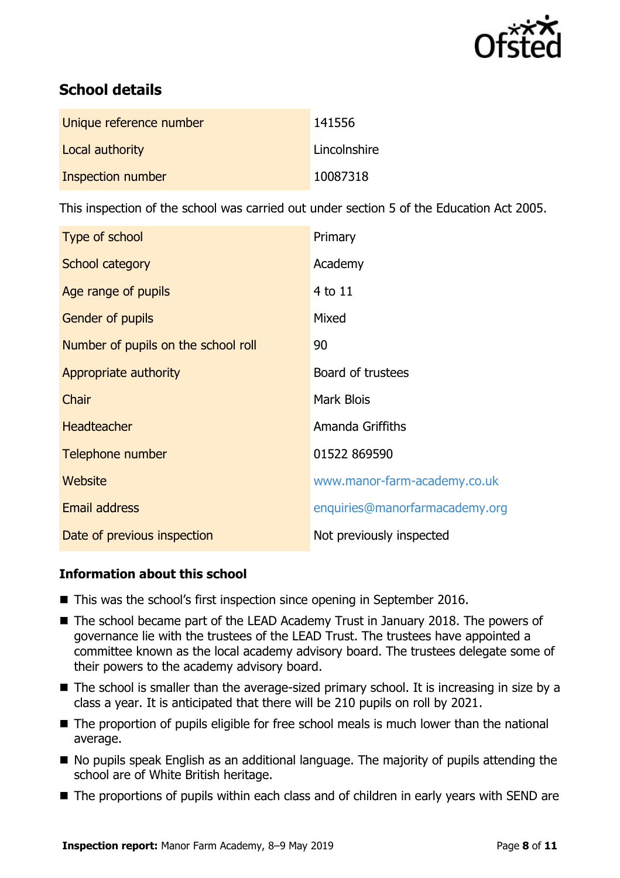

# **School details**

| Unique reference number | 141556       |
|-------------------------|--------------|
| Local authority         | Lincolnshire |
| Inspection number       | 10087318     |

This inspection of the school was carried out under section 5 of the Education Act 2005.

| Type of school                      | Primary                        |
|-------------------------------------|--------------------------------|
| School category                     | Academy                        |
| Age range of pupils                 | 4 to 11                        |
| <b>Gender of pupils</b>             | Mixed                          |
| Number of pupils on the school roll | 90                             |
| Appropriate authority               | Board of trustees              |
| Chair                               | <b>Mark Blois</b>              |
| <b>Headteacher</b>                  | Amanda Griffiths               |
| Telephone number                    | 01522 869590                   |
| Website                             | www.manor-farm-academy.co.uk   |
| <b>Email address</b>                | enquiries@manorfarmacademy.org |
| Date of previous inspection         | Not previously inspected       |

#### **Information about this school**

- This was the school's first inspection since opening in September 2016.
- The school became part of the LEAD Academy Trust in January 2018. The powers of governance lie with the trustees of the LEAD Trust. The trustees have appointed a committee known as the local academy advisory board. The trustees delegate some of their powers to the academy advisory board.
- $\blacksquare$  The school is smaller than the average-sized primary school. It is increasing in size by a class a year. It is anticipated that there will be 210 pupils on roll by 2021.
- The proportion of pupils eligible for free school meals is much lower than the national average.
- No pupils speak English as an additional language. The majority of pupils attending the school are of White British heritage.
- The proportions of pupils within each class and of children in early years with SEND are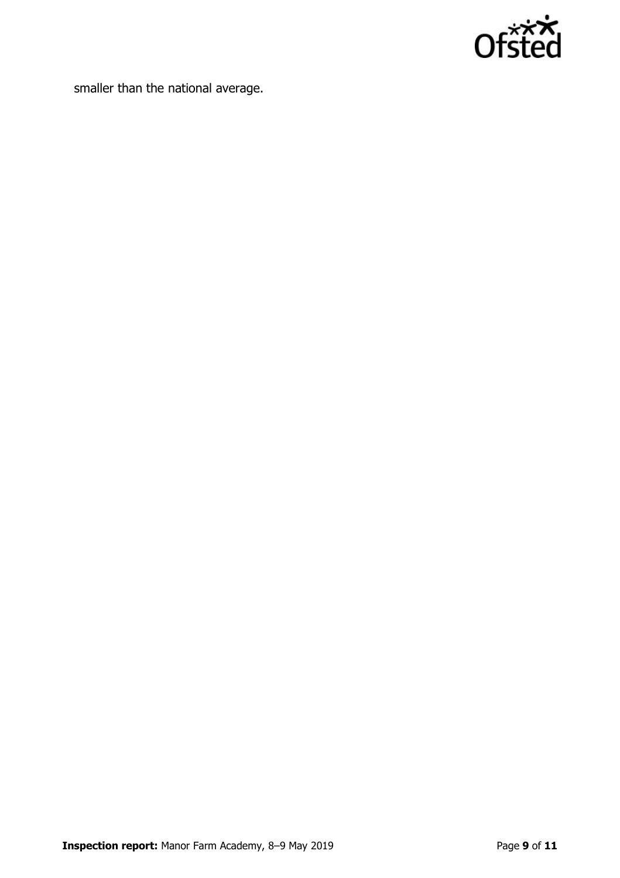

smaller than the national average.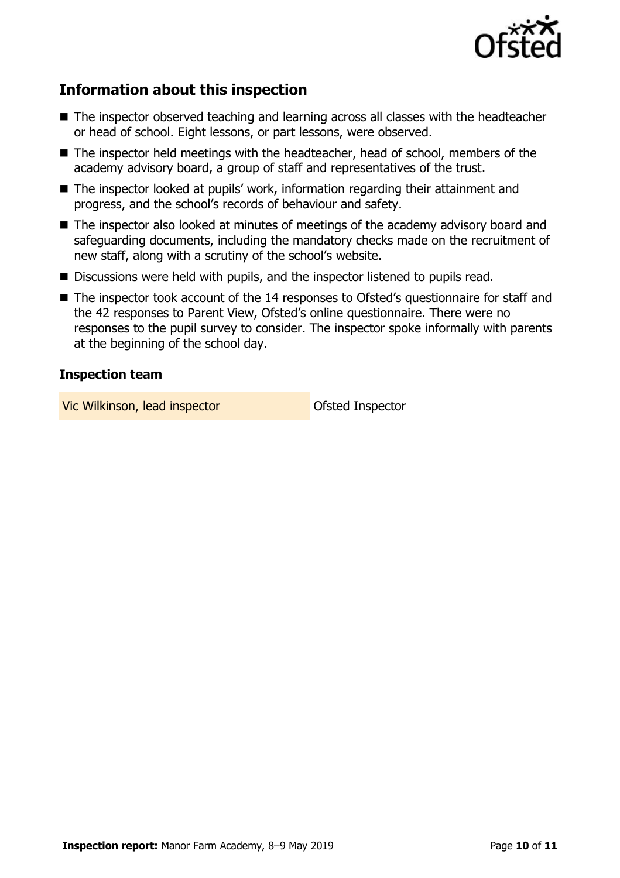

# **Information about this inspection**

- The inspector observed teaching and learning across all classes with the headteacher or head of school. Eight lessons, or part lessons, were observed.
- The inspector held meetings with the headteacher, head of school, members of the academy advisory board, a group of staff and representatives of the trust.
- The inspector looked at pupils' work, information regarding their attainment and progress, and the school's records of behaviour and safety.
- The inspector also looked at minutes of meetings of the academy advisory board and safeguarding documents, including the mandatory checks made on the recruitment of new staff, along with a scrutiny of the school's website.
- Discussions were held with pupils, and the inspector listened to pupils read.
- The inspector took account of the 14 responses to Ofsted's questionnaire for staff and the 42 responses to Parent View, Ofsted's online questionnaire. There were no responses to the pupil survey to consider. The inspector spoke informally with parents at the beginning of the school day.

#### **Inspection team**

Vic Wilkinson, lead inspector **Ofsted Inspector**